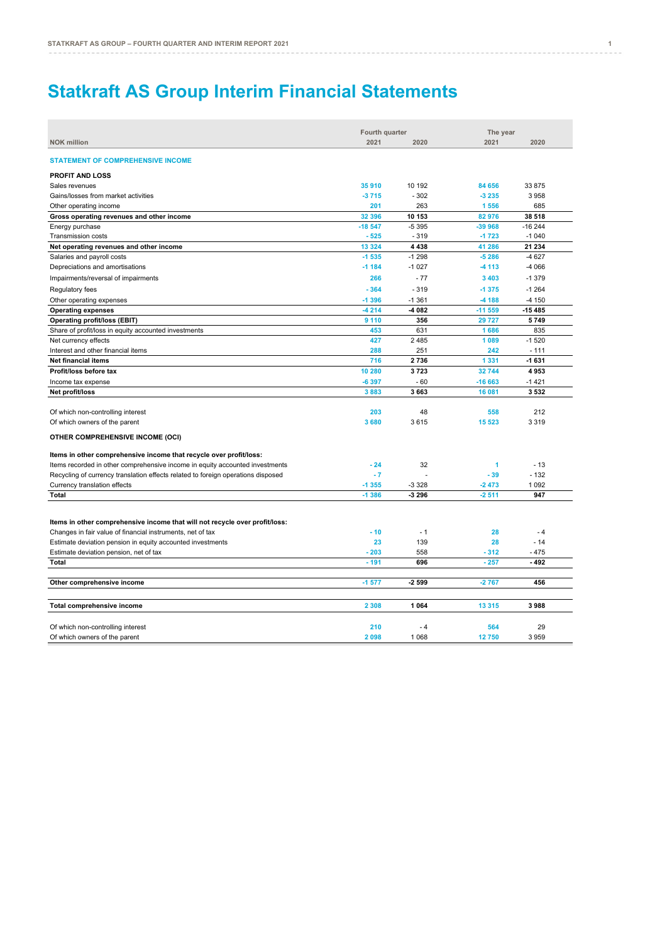# **Statkraft AS Group Interim Financial Statements**

|                                                                                  | Fourth quarter |          | The year        |          |
|----------------------------------------------------------------------------------|----------------|----------|-----------------|----------|
| <b>NOK million</b>                                                               | 2021           | 2020     | 2021            | 2020     |
| <b>STATEMENT OF COMPREHENSIVE INCOME</b>                                         |                |          |                 |          |
| <b>PROFIT AND LOSS</b>                                                           |                |          |                 |          |
| Sales revenues                                                                   | 35 910         | 10 192   | 84 656          | 33 875   |
| Gains/losses from market activities                                              | $-3715$        | $-302$   | $-3235$         | 3958     |
| Other operating income                                                           | 201            | 263      | 1 5 5 6         | 685      |
| Gross operating revenues and other income                                        | 32 396         | 10 153   | 82 976          | 38 518   |
| Energy purchase                                                                  | $-18547$       | $-5395$  | $-39968$        | $-16244$ |
| Transmission costs                                                               | $-525$         | $-319$   | $-1723$         | $-1040$  |
| Net operating revenues and other income                                          | 13 3 24        | 4 4 3 8  | 41 286          | 21 234   |
| Salaries and payroll costs                                                       | $-1535$        | $-1298$  | $-5286$         | $-4627$  |
| Depreciations and amortisations                                                  | $-1184$        | $-1027$  | $-4113$         | -4 066   |
| Impairments/reversal of impairments                                              | 266            | $-77$    | 3 4 0 3         | $-1379$  |
| Regulatory fees                                                                  | $-364$         | $-319$   | $-1375$         | $-1264$  |
| Other operating expenses                                                         | $-1396$        | $-1.361$ | -4 188          | $-4150$  |
| <b>Operating expenses</b>                                                        | $-4214$        | -4 082   | $-11559$        | $-15485$ |
|                                                                                  | 9 1 1 0        | 356      |                 | 5749     |
| <b>Operating profit/loss (EBIT)</b>                                              | 453            | 631      | 29 7 27<br>1686 | 835      |
| Share of profit/loss in equity accounted investments                             | 427            | 2485     | 1 0 8 9         | $-1520$  |
| Net currency effects                                                             |                |          |                 |          |
| Interest and other financial items                                               | 288            | 251      | 242             | $-111$   |
| <b>Net financial items</b>                                                       | 716            | 2736     | 1 3 3 1         | $-1631$  |
| Profit/loss before tax                                                           | 10 280         | 3723     | 32744           | 4953     |
| Income tax expense                                                               | $-6397$        | $-60$    | $-16663$        | $-1421$  |
| Net profit/loss                                                                  | 3883           | 3 6 6 3  | 16 081          | 3532     |
| Of which non-controlling interest                                                | 203            | 48       | 558             | 212      |
| Of which owners of the parent                                                    | 3680           | 3615     | 15 5 23         | 3 3 1 9  |
|                                                                                  |                |          |                 |          |
| OTHER COMPREHENSIVE INCOME (OCI)                                                 |                |          |                 |          |
| Items in other comprehensive income that recycle over profit/loss:               |                |          |                 |          |
| Items recorded in other comprehensive income in equity accounted investments     | $-24$          | 32       | 1               | $-13$    |
| Recycling of currency translation effects related to foreign operations disposed | $-7$           |          | $-39$           | $-132$   |
| Currency translation effects                                                     | $-1355$        | $-3328$  | $-2473$         | 1 0 9 2  |
| <b>Total</b>                                                                     | $-1386$        | -3 296   | $-2511$         | 947      |
|                                                                                  |                |          |                 |          |
| Items in other comprehensive income that will not recycle over profit/loss:      |                |          |                 |          |
| Changes in fair value of financial instruments, net of tax                       | $-10$          | $-1$     | 28              | $-4$     |
| Estimate deviation pension in equity accounted investments                       | 23             | 139      | 28              | $-14$    |
| Estimate deviation pension, net of tax                                           | $-203$         | 558      | $-312$          | - 475    |
| Total                                                                            | $-191$         | 696      | $-257$          | - 492    |
|                                                                                  |                |          |                 |          |
| Other comprehensive income                                                       | $-1577$        | -2 599   | $-2767$         | 456      |
| Total comprehensive income                                                       | 2 3 0 8        | 1 0 6 4  | 13 3 15         | 3988     |
|                                                                                  |                |          |                 |          |
| Of which non-controlling interest                                                | 210            | - 4      | 564             | 29       |
| Of which owners of the parent                                                    | 2098           | 1 0 6 8  | 12750           | 3959     |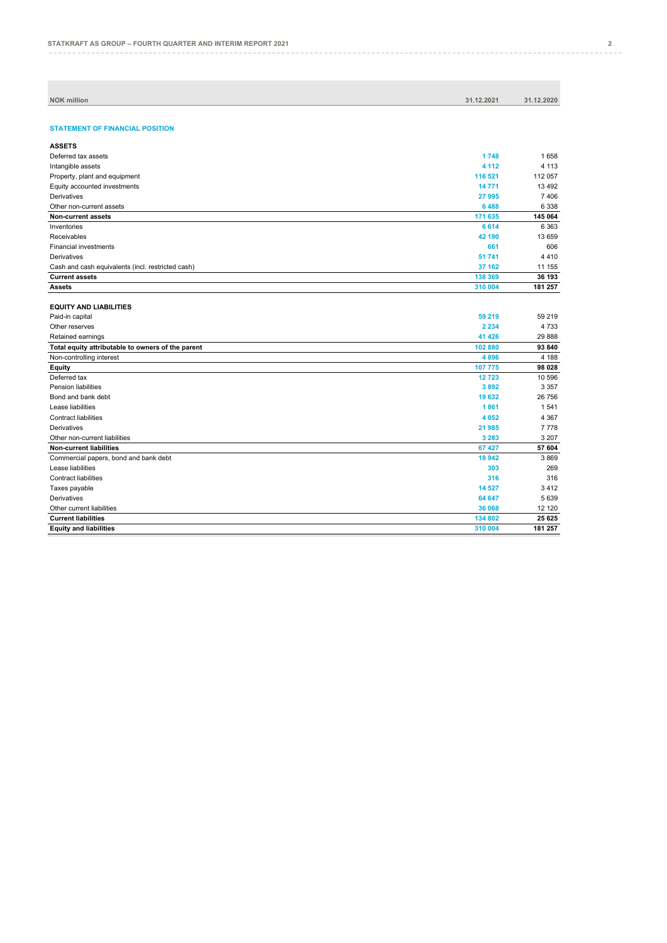| <b>NOK million</b> | 31.12.2021 | 31.12.2020 |
|--------------------|------------|------------|
|                    |            |            |

## **STATEMENT OF FINANCIAL POSITION**

| <b>ASSETS</b>                                     |         |          |
|---------------------------------------------------|---------|----------|
| Deferred tax assets                               | 1748    | 1658     |
| Intangible assets                                 | 4 1 1 2 | 4 1 1 3  |
| Property, plant and equipment                     | 116 521 | 112 057  |
| Equity accounted investments                      | 14771   | 13 4 9 2 |
| Derivatives                                       | 27 995  | 7406     |
| Other non-current assets                          | 6488    | 6 3 3 8  |
| Non-current assets                                | 171 635 | 145 064  |
| Inventories                                       | 6614    | 6 3 6 3  |
| Receivables                                       | 42 190  | 13 659   |
| <b>Financial investments</b>                      | 661     | 606      |
| Derivatives                                       | 51 741  | 4410     |
| Cash and cash equivalents (incl. restricted cash) | 37 162  | 11 155   |
| <b>Current assets</b>                             | 138 369 | 36 193   |
| <b>Assets</b>                                     | 310 004 | 181 257  |

## **EQUITY AND LIABILITIES**

| Paid-in capital                                   | 59 219  | 59 219  |
|---------------------------------------------------|---------|---------|
| Other reserves                                    | 2 2 3 4 | 4733    |
| Retained earnings                                 | 41 4 26 | 29 888  |
| Total equity attributable to owners of the parent | 102 880 | 93 840  |
| Non-controlling interest                          | 4896    | 4 1 8 8 |
| Equity                                            | 107 775 | 98 028  |
| Deferred tax                                      | 12723   | 10 596  |
| <b>Pension liabilities</b>                        | 3892    | 3 3 5 7 |
| Bond and bank debt                                | 19 632  | 26 756  |
| Lease liabilities                                 | 1861    | 1541    |
| <b>Contract liabilities</b>                       | 4 0 5 2 | 4 3 6 7 |
| Derivatives                                       | 21 985  | 7778    |
| Other non-current liabilities                     | 3 2 8 3 | 3 2 0 7 |
| Non-current liabilities                           | 67 427  | 57 604  |
| Commercial papers, bond and bank debt             | 18942   | 3869    |
| Lease liabilities                                 | 303     | 269     |
| <b>Contract liabilities</b>                       | 316     | 316     |
| Taxes payable                                     | 14 5 27 | 3412    |
| Derivatives                                       | 64 647  | 5639    |
| Other current liabilities                         | 36 068  | 12 120  |
| <b>Current liabilities</b>                        | 134 802 | 25 625  |
| <b>Equity and liabilities</b>                     | 310 004 | 181 257 |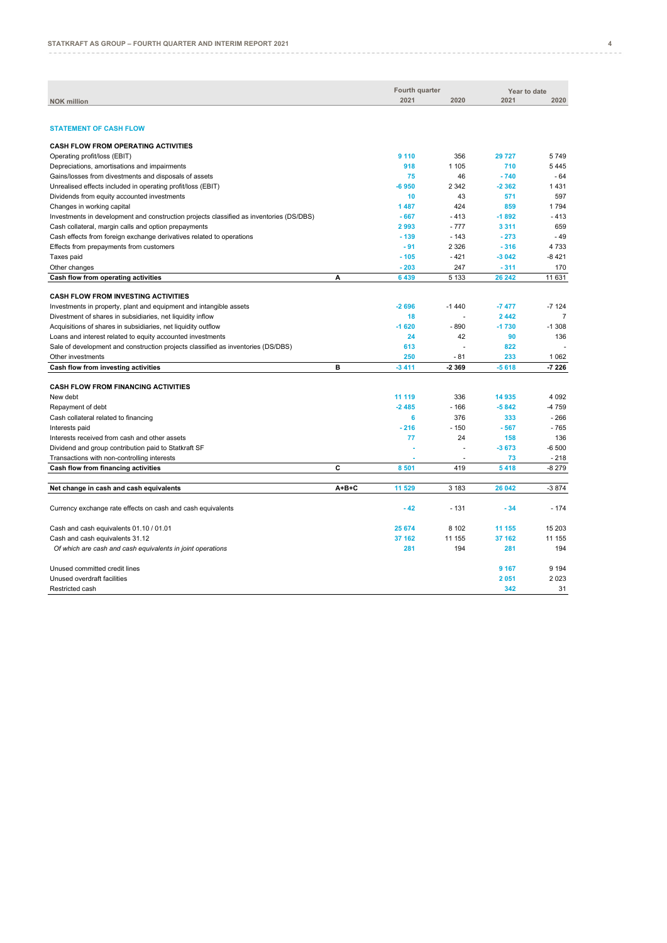|                                                                                         |             | Fourth quarter |                          | Year to date |                |
|-----------------------------------------------------------------------------------------|-------------|----------------|--------------------------|--------------|----------------|
| <b>NOK million</b>                                                                      |             | 2021           | 2020                     | 2021         | 2020           |
|                                                                                         |             |                |                          |              |                |
|                                                                                         |             |                |                          |              |                |
| <b>STATEMENT OF CASH FLOW</b>                                                           |             |                |                          |              |                |
| <b>CASH FLOW FROM OPERATING ACTIVITIES</b>                                              |             |                |                          |              |                |
| Operating profit/loss (EBIT)                                                            |             | 9 1 1 0        | 356                      | 29 727       | 5749           |
| Depreciations, amortisations and impairments                                            |             | 918            | 1 1 0 5                  | 710          | 5445           |
| Gains/losses from divestments and disposals of assets                                   |             | 75             | 46                       | $-740$       | $-64$          |
| Unrealised effects included in operating profit/loss (EBIT)                             |             | $-6950$        | 2 3 4 2                  | $-2362$      | 1431           |
| Dividends from equity accounted investments                                             |             | 10             | 43                       | 571          | 597            |
| Changes in working capital                                                              |             | 1 4 8 7        | 424                      | 859          | 1794           |
| Investments in development and construction projects classified as inventories (DS/DBS) |             | $-667$         | $-413$                   | $-1892$      | $-413$         |
| Cash collateral, margin calls and option prepayments                                    |             | 2993           | $-777$                   | 3 3 1 1      | 659            |
| Cash effects from foreign exchange derivatives related to operations                    |             | $-139$         | $-143$                   | $-273$       | $-49$          |
| Effects from prepayments from customers                                                 |             | $-91$          | 2 3 2 6                  | $-316$       | 4733           |
| Taxes paid                                                                              |             | $-105$         | $-421$                   | $-3042$      | $-8421$        |
| Other changes                                                                           |             | $-203$         | 247                      | $-311$       | 170            |
| Cash flow from operating activities                                                     | A           | 6 4 3 9        | 5 1 3 3                  | 26 24 2      | 11 631         |
|                                                                                         |             |                |                          |              |                |
| <b>CASH FLOW FROM INVESTING ACTIVITIES</b>                                              |             |                |                          |              |                |
| Investments in property, plant and equipment and intangible assets                      |             | $-2696$        | $-1440$                  | $-7477$      | $-7124$        |
| Divestment of shares in subsidiaries, net liquidity inflow                              |             | 18             | ÷.                       | 2 4 4 2      | $\overline{7}$ |
| Acquisitions of shares in subsidiaries, net liquidity outflow                           |             | $-1620$        | $-890$                   | $-1730$      | $-1.308$       |
| Loans and interest related to equity accounted investments                              |             | 24             | 42                       | 90           | 136            |
| Sale of development and construction projects classified as inventories (DS/DBS)        |             | 613            |                          | 822          |                |
| Other investments                                                                       |             | 250            | $-81$                    | 233          | 1 0 6 2        |
| Cash flow from investing activities                                                     | в           | $-3411$        | -2 3 6 9                 | $-5618$      | $-7226$        |
|                                                                                         |             |                |                          |              |                |
| <b>CASH FLOW FROM FINANCING ACTIVITIES</b>                                              |             |                |                          |              |                |
| New debt                                                                                |             | 11 119         | 336                      | 14 935       | 4 0 9 2        |
| Repayment of debt                                                                       |             | $-2485$        | $-166$                   | $-5842$      | -4759          |
| Cash collateral related to financing                                                    |             | 6              | 376                      | 333          | $-266$         |
| Interests paid                                                                          |             | $-216$         | $-150$                   | $-567$       | $-765$         |
| Interests received from cash and other assets                                           |             | 77             | 24                       | 158          | 136            |
| Dividend and group contribution paid to Statkraft SF                                    |             |                | $\overline{a}$           | $-3673$      | $-6500$        |
| Transactions with non-controlling interests                                             |             |                | $\overline{\phantom{a}}$ | 73           | $-218$         |
| Cash flow from financing activities                                                     | C           | 8 5 0 1        | 419                      | 5418         | $-8279$        |
|                                                                                         |             |                |                          |              |                |
| Net change in cash and cash equivalents                                                 | $A + B + C$ | 11 529         | 3 1 8 3                  | 26 042       | $-3874$        |
|                                                                                         |             |                |                          |              |                |
| Currency exchange rate effects on cash and cash equivalents                             |             | $-42$          | $-131$                   | $-34$        | $-174$         |
| Cash and cash equivalents 01.10 / 01.01                                                 |             | 25 674         | 8 1 0 2                  | 11 155       | 15 203         |
| Cash and cash equivalents 31.12                                                         |             | 37 162         | 11 155                   | 37 162       | 11 155         |
| Of which are cash and cash equivalents in joint operations                              |             | 281            | 194                      | 281          | 194            |
|                                                                                         |             |                |                          |              |                |
| Unused committed credit lines                                                           |             |                |                          | 9 1 6 7      | 9 1 9 4        |
| Unused overdraft facilities                                                             |             |                |                          | 2051         | 2023           |
| Restricted cash                                                                         |             |                |                          | 342          | 31             |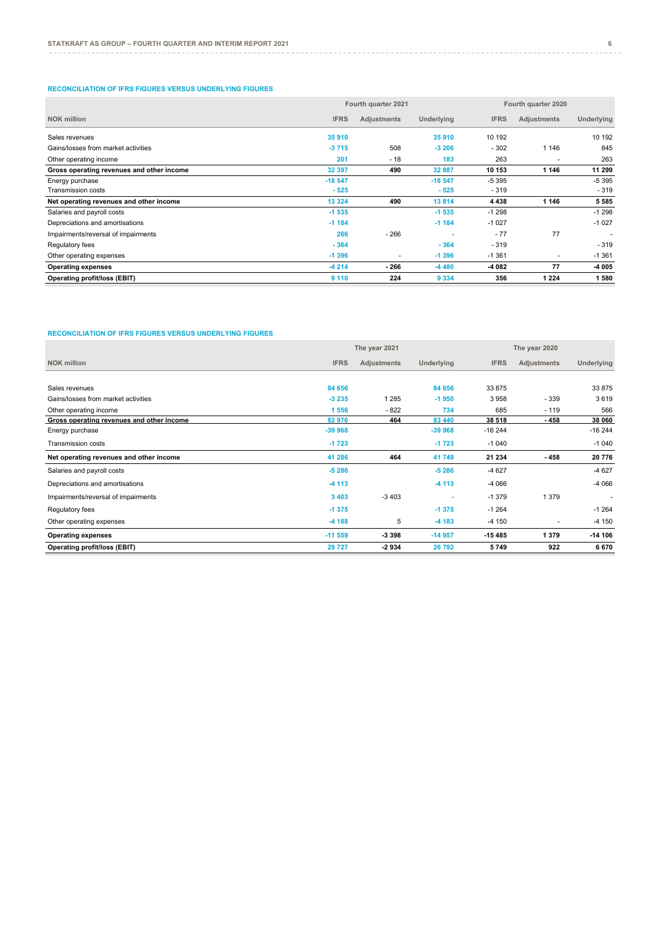#### **RECONCILIATION OF IFRS FIGURES VERSUS UNDERLYING FIGURES**

|                                           |             | Fourth quarter 2021 | Fourth quarter 2020 |             |             |            |
|-------------------------------------------|-------------|---------------------|---------------------|-------------|-------------|------------|
| <b>NOK million</b>                        | <b>IFRS</b> | <b>Adjustments</b>  | Underlying          | <b>IFRS</b> | Adjustments | Underlying |
| Sales revenues                            | 35 910      |                     | 35 910              | 10 192      |             | 10 192     |
| Gains/losses from market activities       | $-3715$     | 508                 | $-3206$             | $-302$      | 1 1 4 6     | 845        |
| Other operating income                    | 201         | - 18                | 183                 | 263         |             | 263        |
| Gross operating revenues and other income | 32 397      | 490                 | 32 887              | 10 153      | 1 1 4 6     | 11 299     |
| Energy purchase                           | $-18547$    |                     | $-18547$            | $-5395$     |             | $-5395$    |
| <b>Transmission costs</b>                 | $-525$      |                     | $-525$              | $-319$      |             | $-319$     |
| Net operating revenues and other income   | 13 3 24     | 490                 | 13814               | 4 4 3 8     | 1 1 4 6     | 5585       |
| Salaries and payroll costs                | $-1535$     |                     | $-1535$             | $-1298$     |             | $-1298$    |
| Depreciations and amortisations           | $-1184$     |                     | $-1184$             | $-1027$     |             | $-1027$    |
| Impairments/reversal of impairments       | 266         | $-266$              |                     | $-77$       | 77          |            |
| Regulatory fees                           | $-364$      |                     | $-364$              | $-319$      |             | $-319$     |
| Other operating expenses                  | $-1396$     | ٠                   | $-1396$             | $-1.361$    | ٠           | $-1.361$   |
| <b>Operating expenses</b>                 | $-4214$     | $-266$              | $-4480$             | -4 082      | 77          | -4 005     |
| Operating profit/loss (EBIT)              | 9 1 1 0     | 224                 | 9 3 3 4             | 356         | 1 2 2 4     | 1580       |

## **RECONCILIATION OF IFRS FIGURES VERSUS UNDERLYING FIGURES**

|                                           |             | The year 2021 |            | The year 2020 |             |            |  |
|-------------------------------------------|-------------|---------------|------------|---------------|-------------|------------|--|
| <b>NOK million</b>                        | <b>IFRS</b> | Adjustments   | Underlying | <b>IFRS</b>   | Adjustments | Underlying |  |
|                                           |             |               |            |               |             |            |  |
| Sales revenues                            | 84 656      |               | 84 656     | 33 875        |             | 33 875     |  |
| Gains/losses from market activities       | $-3235$     | 1 2 8 5       | $-1950$    | 3958          | $-339$      | 3619       |  |
| Other operating income                    | 1 5 5 6     | $-822$        | 734        | 685           | $-119$      | 566        |  |
| Gross operating revenues and other income | 82 976      | 464           | 83 440     | 38 518        | - 458       | 38 060     |  |
| Energy purchase                           | $-39968$    |               | $-39968$   | $-16244$      |             | $-16244$   |  |
| <b>Transmission costs</b>                 | $-1723$     |               | $-1723$    | $-1040$       |             | $-1040$    |  |
| Net operating revenues and other income   | 41 286      | 464           | 41749      | 21 234        | - 458       | 20776      |  |
| Salaries and payroll costs                | $-5286$     |               | $-5286$    | $-4627$       |             | $-4627$    |  |
| Depreciations and amortisations           | $-4113$     |               | $-4113$    | $-4066$       |             | $-4066$    |  |
| Impairments/reversal of impairments       | 3 4 0 3     | $-3403$       |            | $-1379$       | 1 3 7 9     | ٠          |  |
| Regulatory fees                           | $-1375$     |               | $-1375$    | $-1264$       |             | $-1264$    |  |
| Other operating expenses                  | $-4188$     | 5             | $-4183$    | $-4150$       |             | $-4150$    |  |
| <b>Operating expenses</b>                 | $-11559$    | -3 3 9 8      | $-14957$   | $-15485$      | 1379        | $-14106$   |  |
| Operating profit/loss (EBIT)              | 29 727      | 2934          | 26792      | 5749          | 922         | 6670       |  |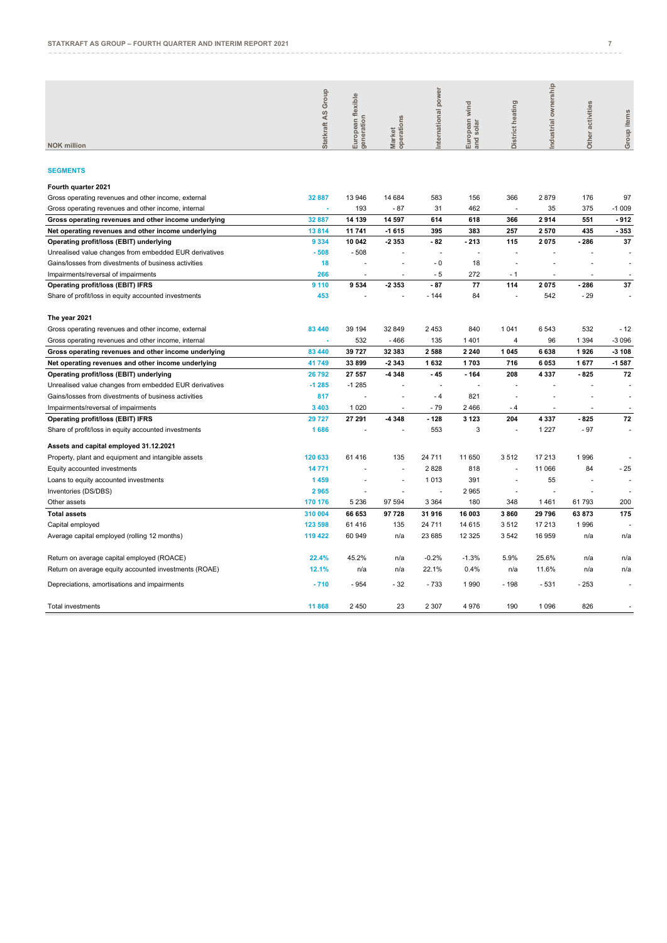| <b>SEGMENTS</b><br>13 946<br>366<br>2879<br>Gross operating revenues and other income, external<br>32 887<br>14 684<br>583<br>156<br>176<br>97<br>193<br>$-87$<br>462<br>35<br>375<br>$-1009$<br>31<br>32 887<br>14 139<br>14 597<br>614<br>618<br>366<br>2914<br>551<br>$-912$<br>Gross operating revenues and other income underlying<br>11741<br>$-1615$<br>383<br>257<br>435<br>$-353$<br>Net operating revenues and other income underlying<br>13814<br>395<br>2570<br>10 042<br>Operating profit/loss (EBIT) underlying<br>9 3 3 4<br>2 3 5 3<br>$-82$<br>$-213$<br>115<br>2075<br>$-286$<br>37<br>$-508$<br>Unrealised value changes from embedded EUR derivatives<br>$-508$<br>ä,<br>$-0$<br>18<br>Gains/losses from divestments of business activities<br>18<br>J.<br>ä,<br>J.<br>266<br>$-5$<br>272<br>$-1$<br>Impairments/reversal of impairments<br>ä,<br>÷.<br>$-87$<br>9 1 1 0<br>9534<br>2 3 5 3<br>77<br>114<br>2075<br>$-286$<br>37<br><b>Operating profit/loss (EBIT) IFRS</b><br>453<br>$-144$<br>84<br>542<br>$-29$<br>Share of profit/loss in equity accounted investments<br>532<br>83 440<br>39 194<br>32 849<br>2 4 5 3<br>840<br>1 0 4 1<br>6543<br>$-12$<br>$-3096$<br>532<br>$-466$<br>135<br>1401<br>$\overline{4}$<br>96<br>1 3 9 4<br>×<br>$-3108$<br>83 440<br>39 727<br>32 383<br>2588<br>2 2 4 0<br>1 0 4 5<br>6638<br>1926<br>$-1587$<br>33899<br>$-2343$<br>1632<br>1703<br>716<br>6053<br>1677<br>41749<br>26792<br>27 557<br>-4 348<br>$-45$<br>$-164$<br>208<br>4 3 3 7<br>$-825$<br>72<br>$-1285$<br>$-1285$<br>ä,<br>817<br>821<br>- 4<br>1 0 2 0<br>3 4 0 3<br>$-79$<br>2 4 6 6<br>- 4<br>29 727<br>27 291<br>-4 348<br>$-128$<br>3 1 2 3<br>204<br>4337<br>$-825$<br>72<br>1686<br>553<br>3<br>1 2 2 7<br>$-97$<br>÷.<br>$\overline{\phantom{a}}$<br>120 633<br>61416<br>135<br>24 7 11<br>11 650<br>3512<br>17 213<br>1996<br>÷,<br>2828<br>$-25$<br>14 771<br>818<br>11 066<br>84<br>1459<br>1013<br>391<br>55<br>$\overline{\phantom{a}}$<br>2965<br>2965<br>÷,<br>5 2 3 6<br>97 594<br>3 3 6 4<br>180<br>348<br>1461<br>61793<br>200<br>170 176<br>310 004<br>31 916<br>16 003<br>3860<br>29 796<br>175<br>66 653<br>97728<br>63873<br>135<br>14 615<br>3512<br>17 213<br>1996<br>123 598<br>61416<br>24 7 11<br>119 422<br>60 949<br>23 685<br>12 3 25<br>3542<br>16 959<br>n/a<br>n/a<br>n/a<br>22.4%<br>45.2%<br>$-0.2%$<br>$-1.3%$<br>5.9%<br>25.6%<br>n/a<br>n/a<br>n/a<br>12.1%<br>0.4%<br>11.6%<br>22.1%<br>n/a<br>n/a<br>n/a<br>n/a<br>n/a | <b>NOK million</b>                                     | Statkraft AS Group | European flexible<br>generation | operations<br>Market | power<br>nternational | European wind<br>and solar | istrict heating<br>ä | ownership<br>ndustrial | Other activities | Group items |
|--------------------------------------------------------------------------------------------------------------------------------------------------------------------------------------------------------------------------------------------------------------------------------------------------------------------------------------------------------------------------------------------------------------------------------------------------------------------------------------------------------------------------------------------------------------------------------------------------------------------------------------------------------------------------------------------------------------------------------------------------------------------------------------------------------------------------------------------------------------------------------------------------------------------------------------------------------------------------------------------------------------------------------------------------------------------------------------------------------------------------------------------------------------------------------------------------------------------------------------------------------------------------------------------------------------------------------------------------------------------------------------------------------------------------------------------------------------------------------------------------------------------------------------------------------------------------------------------------------------------------------------------------------------------------------------------------------------------------------------------------------------------------------------------------------------------------------------------------------------------------------------------------------------------------------------------------------------------------------------------------------------------------------------------------------------------------------------------------------------------------------------------------------------------------------------------------------------------------------------------------------------------------------------------------------------------------------------------------------------------------------------------------------------------------------------------------------------------------------------------------|--------------------------------------------------------|--------------------|---------------------------------|----------------------|-----------------------|----------------------------|----------------------|------------------------|------------------|-------------|
|                                                                                                                                                                                                                                                                                                                                                                                                                                                                                                                                                                                                                                                                                                                                                                                                                                                                                                                                                                                                                                                                                                                                                                                                                                                                                                                                                                                                                                                                                                                                                                                                                                                                                                                                                                                                                                                                                                                                                                                                                                                                                                                                                                                                                                                                                                                                                                                                                                                                                                  |                                                        |                    |                                 |                      |                       |                            |                      |                        |                  |             |
|                                                                                                                                                                                                                                                                                                                                                                                                                                                                                                                                                                                                                                                                                                                                                                                                                                                                                                                                                                                                                                                                                                                                                                                                                                                                                                                                                                                                                                                                                                                                                                                                                                                                                                                                                                                                                                                                                                                                                                                                                                                                                                                                                                                                                                                                                                                                                                                                                                                                                                  |                                                        |                    |                                 |                      |                       |                            |                      |                        |                  |             |
|                                                                                                                                                                                                                                                                                                                                                                                                                                                                                                                                                                                                                                                                                                                                                                                                                                                                                                                                                                                                                                                                                                                                                                                                                                                                                                                                                                                                                                                                                                                                                                                                                                                                                                                                                                                                                                                                                                                                                                                                                                                                                                                                                                                                                                                                                                                                                                                                                                                                                                  | Fourth quarter 2021                                    |                    |                                 |                      |                       |                            |                      |                        |                  |             |
|                                                                                                                                                                                                                                                                                                                                                                                                                                                                                                                                                                                                                                                                                                                                                                                                                                                                                                                                                                                                                                                                                                                                                                                                                                                                                                                                                                                                                                                                                                                                                                                                                                                                                                                                                                                                                                                                                                                                                                                                                                                                                                                                                                                                                                                                                                                                                                                                                                                                                                  |                                                        |                    |                                 |                      |                       |                            |                      |                        |                  |             |
|                                                                                                                                                                                                                                                                                                                                                                                                                                                                                                                                                                                                                                                                                                                                                                                                                                                                                                                                                                                                                                                                                                                                                                                                                                                                                                                                                                                                                                                                                                                                                                                                                                                                                                                                                                                                                                                                                                                                                                                                                                                                                                                                                                                                                                                                                                                                                                                                                                                                                                  | Gross operating revenues and other income, internal    |                    |                                 |                      |                       |                            |                      |                        |                  |             |
|                                                                                                                                                                                                                                                                                                                                                                                                                                                                                                                                                                                                                                                                                                                                                                                                                                                                                                                                                                                                                                                                                                                                                                                                                                                                                                                                                                                                                                                                                                                                                                                                                                                                                                                                                                                                                                                                                                                                                                                                                                                                                                                                                                                                                                                                                                                                                                                                                                                                                                  |                                                        |                    |                                 |                      |                       |                            |                      |                        |                  |             |
|                                                                                                                                                                                                                                                                                                                                                                                                                                                                                                                                                                                                                                                                                                                                                                                                                                                                                                                                                                                                                                                                                                                                                                                                                                                                                                                                                                                                                                                                                                                                                                                                                                                                                                                                                                                                                                                                                                                                                                                                                                                                                                                                                                                                                                                                                                                                                                                                                                                                                                  |                                                        |                    |                                 |                      |                       |                            |                      |                        |                  |             |
|                                                                                                                                                                                                                                                                                                                                                                                                                                                                                                                                                                                                                                                                                                                                                                                                                                                                                                                                                                                                                                                                                                                                                                                                                                                                                                                                                                                                                                                                                                                                                                                                                                                                                                                                                                                                                                                                                                                                                                                                                                                                                                                                                                                                                                                                                                                                                                                                                                                                                                  |                                                        |                    |                                 |                      |                       |                            |                      |                        |                  |             |
|                                                                                                                                                                                                                                                                                                                                                                                                                                                                                                                                                                                                                                                                                                                                                                                                                                                                                                                                                                                                                                                                                                                                                                                                                                                                                                                                                                                                                                                                                                                                                                                                                                                                                                                                                                                                                                                                                                                                                                                                                                                                                                                                                                                                                                                                                                                                                                                                                                                                                                  |                                                        |                    |                                 |                      |                       |                            |                      |                        |                  |             |
|                                                                                                                                                                                                                                                                                                                                                                                                                                                                                                                                                                                                                                                                                                                                                                                                                                                                                                                                                                                                                                                                                                                                                                                                                                                                                                                                                                                                                                                                                                                                                                                                                                                                                                                                                                                                                                                                                                                                                                                                                                                                                                                                                                                                                                                                                                                                                                                                                                                                                                  |                                                        |                    |                                 |                      |                       |                            |                      |                        |                  |             |
|                                                                                                                                                                                                                                                                                                                                                                                                                                                                                                                                                                                                                                                                                                                                                                                                                                                                                                                                                                                                                                                                                                                                                                                                                                                                                                                                                                                                                                                                                                                                                                                                                                                                                                                                                                                                                                                                                                                                                                                                                                                                                                                                                                                                                                                                                                                                                                                                                                                                                                  |                                                        |                    |                                 |                      |                       |                            |                      |                        |                  |             |
|                                                                                                                                                                                                                                                                                                                                                                                                                                                                                                                                                                                                                                                                                                                                                                                                                                                                                                                                                                                                                                                                                                                                                                                                                                                                                                                                                                                                                                                                                                                                                                                                                                                                                                                                                                                                                                                                                                                                                                                                                                                                                                                                                                                                                                                                                                                                                                                                                                                                                                  |                                                        |                    |                                 |                      |                       |                            |                      |                        |                  |             |
|                                                                                                                                                                                                                                                                                                                                                                                                                                                                                                                                                                                                                                                                                                                                                                                                                                                                                                                                                                                                                                                                                                                                                                                                                                                                                                                                                                                                                                                                                                                                                                                                                                                                                                                                                                                                                                                                                                                                                                                                                                                                                                                                                                                                                                                                                                                                                                                                                                                                                                  |                                                        |                    |                                 |                      |                       |                            |                      |                        |                  |             |
|                                                                                                                                                                                                                                                                                                                                                                                                                                                                                                                                                                                                                                                                                                                                                                                                                                                                                                                                                                                                                                                                                                                                                                                                                                                                                                                                                                                                                                                                                                                                                                                                                                                                                                                                                                                                                                                                                                                                                                                                                                                                                                                                                                                                                                                                                                                                                                                                                                                                                                  | The year 2021                                          |                    |                                 |                      |                       |                            |                      |                        |                  |             |
|                                                                                                                                                                                                                                                                                                                                                                                                                                                                                                                                                                                                                                                                                                                                                                                                                                                                                                                                                                                                                                                                                                                                                                                                                                                                                                                                                                                                                                                                                                                                                                                                                                                                                                                                                                                                                                                                                                                                                                                                                                                                                                                                                                                                                                                                                                                                                                                                                                                                                                  | Gross operating revenues and other income, external    |                    |                                 |                      |                       |                            |                      |                        |                  |             |
|                                                                                                                                                                                                                                                                                                                                                                                                                                                                                                                                                                                                                                                                                                                                                                                                                                                                                                                                                                                                                                                                                                                                                                                                                                                                                                                                                                                                                                                                                                                                                                                                                                                                                                                                                                                                                                                                                                                                                                                                                                                                                                                                                                                                                                                                                                                                                                                                                                                                                                  | Gross operating revenues and other income, internal    |                    |                                 |                      |                       |                            |                      |                        |                  |             |
|                                                                                                                                                                                                                                                                                                                                                                                                                                                                                                                                                                                                                                                                                                                                                                                                                                                                                                                                                                                                                                                                                                                                                                                                                                                                                                                                                                                                                                                                                                                                                                                                                                                                                                                                                                                                                                                                                                                                                                                                                                                                                                                                                                                                                                                                                                                                                                                                                                                                                                  |                                                        |                    |                                 |                      |                       |                            |                      |                        |                  |             |
|                                                                                                                                                                                                                                                                                                                                                                                                                                                                                                                                                                                                                                                                                                                                                                                                                                                                                                                                                                                                                                                                                                                                                                                                                                                                                                                                                                                                                                                                                                                                                                                                                                                                                                                                                                                                                                                                                                                                                                                                                                                                                                                                                                                                                                                                                                                                                                                                                                                                                                  | Gross operating revenues and other income underlying   |                    |                                 |                      |                       |                            |                      |                        |                  |             |
|                                                                                                                                                                                                                                                                                                                                                                                                                                                                                                                                                                                                                                                                                                                                                                                                                                                                                                                                                                                                                                                                                                                                                                                                                                                                                                                                                                                                                                                                                                                                                                                                                                                                                                                                                                                                                                                                                                                                                                                                                                                                                                                                                                                                                                                                                                                                                                                                                                                                                                  | Net operating revenues and other income underlying     |                    |                                 |                      |                       |                            |                      |                        |                  |             |
|                                                                                                                                                                                                                                                                                                                                                                                                                                                                                                                                                                                                                                                                                                                                                                                                                                                                                                                                                                                                                                                                                                                                                                                                                                                                                                                                                                                                                                                                                                                                                                                                                                                                                                                                                                                                                                                                                                                                                                                                                                                                                                                                                                                                                                                                                                                                                                                                                                                                                                  | Operating profit/loss (EBIT) underlying                |                    |                                 |                      |                       |                            |                      |                        |                  |             |
|                                                                                                                                                                                                                                                                                                                                                                                                                                                                                                                                                                                                                                                                                                                                                                                                                                                                                                                                                                                                                                                                                                                                                                                                                                                                                                                                                                                                                                                                                                                                                                                                                                                                                                                                                                                                                                                                                                                                                                                                                                                                                                                                                                                                                                                                                                                                                                                                                                                                                                  | Unrealised value changes from embedded EUR derivatives |                    |                                 |                      |                       |                            |                      |                        |                  |             |
|                                                                                                                                                                                                                                                                                                                                                                                                                                                                                                                                                                                                                                                                                                                                                                                                                                                                                                                                                                                                                                                                                                                                                                                                                                                                                                                                                                                                                                                                                                                                                                                                                                                                                                                                                                                                                                                                                                                                                                                                                                                                                                                                                                                                                                                                                                                                                                                                                                                                                                  | Gains/losses from divestments of business activities   |                    |                                 |                      |                       |                            |                      |                        |                  |             |
|                                                                                                                                                                                                                                                                                                                                                                                                                                                                                                                                                                                                                                                                                                                                                                                                                                                                                                                                                                                                                                                                                                                                                                                                                                                                                                                                                                                                                                                                                                                                                                                                                                                                                                                                                                                                                                                                                                                                                                                                                                                                                                                                                                                                                                                                                                                                                                                                                                                                                                  | Impairments/reversal of impairments                    |                    |                                 |                      |                       |                            |                      |                        |                  |             |
|                                                                                                                                                                                                                                                                                                                                                                                                                                                                                                                                                                                                                                                                                                                                                                                                                                                                                                                                                                                                                                                                                                                                                                                                                                                                                                                                                                                                                                                                                                                                                                                                                                                                                                                                                                                                                                                                                                                                                                                                                                                                                                                                                                                                                                                                                                                                                                                                                                                                                                  | Operating profit/loss (EBIT) IFRS                      |                    |                                 |                      |                       |                            |                      |                        |                  |             |
|                                                                                                                                                                                                                                                                                                                                                                                                                                                                                                                                                                                                                                                                                                                                                                                                                                                                                                                                                                                                                                                                                                                                                                                                                                                                                                                                                                                                                                                                                                                                                                                                                                                                                                                                                                                                                                                                                                                                                                                                                                                                                                                                                                                                                                                                                                                                                                                                                                                                                                  | Share of profit/loss in equity accounted investments   |                    |                                 |                      |                       |                            |                      |                        |                  |             |
|                                                                                                                                                                                                                                                                                                                                                                                                                                                                                                                                                                                                                                                                                                                                                                                                                                                                                                                                                                                                                                                                                                                                                                                                                                                                                                                                                                                                                                                                                                                                                                                                                                                                                                                                                                                                                                                                                                                                                                                                                                                                                                                                                                                                                                                                                                                                                                                                                                                                                                  |                                                        |                    |                                 |                      |                       |                            |                      |                        |                  |             |
|                                                                                                                                                                                                                                                                                                                                                                                                                                                                                                                                                                                                                                                                                                                                                                                                                                                                                                                                                                                                                                                                                                                                                                                                                                                                                                                                                                                                                                                                                                                                                                                                                                                                                                                                                                                                                                                                                                                                                                                                                                                                                                                                                                                                                                                                                                                                                                                                                                                                                                  | Assets and capital employed 31.12.2021                 |                    |                                 |                      |                       |                            |                      |                        |                  |             |
|                                                                                                                                                                                                                                                                                                                                                                                                                                                                                                                                                                                                                                                                                                                                                                                                                                                                                                                                                                                                                                                                                                                                                                                                                                                                                                                                                                                                                                                                                                                                                                                                                                                                                                                                                                                                                                                                                                                                                                                                                                                                                                                                                                                                                                                                                                                                                                                                                                                                                                  | Property, plant and equipment and intangible assets    |                    |                                 |                      |                       |                            |                      |                        |                  |             |
|                                                                                                                                                                                                                                                                                                                                                                                                                                                                                                                                                                                                                                                                                                                                                                                                                                                                                                                                                                                                                                                                                                                                                                                                                                                                                                                                                                                                                                                                                                                                                                                                                                                                                                                                                                                                                                                                                                                                                                                                                                                                                                                                                                                                                                                                                                                                                                                                                                                                                                  | Equity accounted investments                           |                    |                                 |                      |                       |                            |                      |                        |                  |             |
|                                                                                                                                                                                                                                                                                                                                                                                                                                                                                                                                                                                                                                                                                                                                                                                                                                                                                                                                                                                                                                                                                                                                                                                                                                                                                                                                                                                                                                                                                                                                                                                                                                                                                                                                                                                                                                                                                                                                                                                                                                                                                                                                                                                                                                                                                                                                                                                                                                                                                                  | Loans to equity accounted investments                  |                    |                                 |                      |                       |                            |                      |                        |                  |             |
|                                                                                                                                                                                                                                                                                                                                                                                                                                                                                                                                                                                                                                                                                                                                                                                                                                                                                                                                                                                                                                                                                                                                                                                                                                                                                                                                                                                                                                                                                                                                                                                                                                                                                                                                                                                                                                                                                                                                                                                                                                                                                                                                                                                                                                                                                                                                                                                                                                                                                                  | Inventories (DS/DBS)                                   |                    |                                 |                      |                       |                            |                      |                        |                  |             |
|                                                                                                                                                                                                                                                                                                                                                                                                                                                                                                                                                                                                                                                                                                                                                                                                                                                                                                                                                                                                                                                                                                                                                                                                                                                                                                                                                                                                                                                                                                                                                                                                                                                                                                                                                                                                                                                                                                                                                                                                                                                                                                                                                                                                                                                                                                                                                                                                                                                                                                  | Other assets                                           |                    |                                 |                      |                       |                            |                      |                        |                  |             |
|                                                                                                                                                                                                                                                                                                                                                                                                                                                                                                                                                                                                                                                                                                                                                                                                                                                                                                                                                                                                                                                                                                                                                                                                                                                                                                                                                                                                                                                                                                                                                                                                                                                                                                                                                                                                                                                                                                                                                                                                                                                                                                                                                                                                                                                                                                                                                                                                                                                                                                  | <b>Total assets</b>                                    |                    |                                 |                      |                       |                            |                      |                        |                  |             |
|                                                                                                                                                                                                                                                                                                                                                                                                                                                                                                                                                                                                                                                                                                                                                                                                                                                                                                                                                                                                                                                                                                                                                                                                                                                                                                                                                                                                                                                                                                                                                                                                                                                                                                                                                                                                                                                                                                                                                                                                                                                                                                                                                                                                                                                                                                                                                                                                                                                                                                  | Capital employed                                       |                    |                                 |                      |                       |                            |                      |                        |                  |             |
|                                                                                                                                                                                                                                                                                                                                                                                                                                                                                                                                                                                                                                                                                                                                                                                                                                                                                                                                                                                                                                                                                                                                                                                                                                                                                                                                                                                                                                                                                                                                                                                                                                                                                                                                                                                                                                                                                                                                                                                                                                                                                                                                                                                                                                                                                                                                                                                                                                                                                                  | Average capital employed (rolling 12 months)           |                    |                                 |                      |                       |                            |                      |                        |                  |             |
|                                                                                                                                                                                                                                                                                                                                                                                                                                                                                                                                                                                                                                                                                                                                                                                                                                                                                                                                                                                                                                                                                                                                                                                                                                                                                                                                                                                                                                                                                                                                                                                                                                                                                                                                                                                                                                                                                                                                                                                                                                                                                                                                                                                                                                                                                                                                                                                                                                                                                                  | Return on average capital employed (ROACE)             |                    |                                 |                      |                       |                            |                      |                        |                  |             |
| $-733$<br>$-531$<br>$-710$<br>$-954$<br>$-32$<br>1990<br>$-198$<br>$-253$                                                                                                                                                                                                                                                                                                                                                                                                                                                                                                                                                                                                                                                                                                                                                                                                                                                                                                                                                                                                                                                                                                                                                                                                                                                                                                                                                                                                                                                                                                                                                                                                                                                                                                                                                                                                                                                                                                                                                                                                                                                                                                                                                                                                                                                                                                                                                                                                                        | Return on average equity accounted investments (ROAE)  |                    |                                 |                      |                       |                            |                      |                        |                  |             |
| 11868<br>2450<br>23<br>2 3 0 7<br>4976<br>190<br>1096<br>826<br>Total investments                                                                                                                                                                                                                                                                                                                                                                                                                                                                                                                                                                                                                                                                                                                                                                                                                                                                                                                                                                                                                                                                                                                                                                                                                                                                                                                                                                                                                                                                                                                                                                                                                                                                                                                                                                                                                                                                                                                                                                                                                                                                                                                                                                                                                                                                                                                                                                                                                | Depreciations, amortisations and impairments           |                    |                                 |                      |                       |                            |                      |                        |                  |             |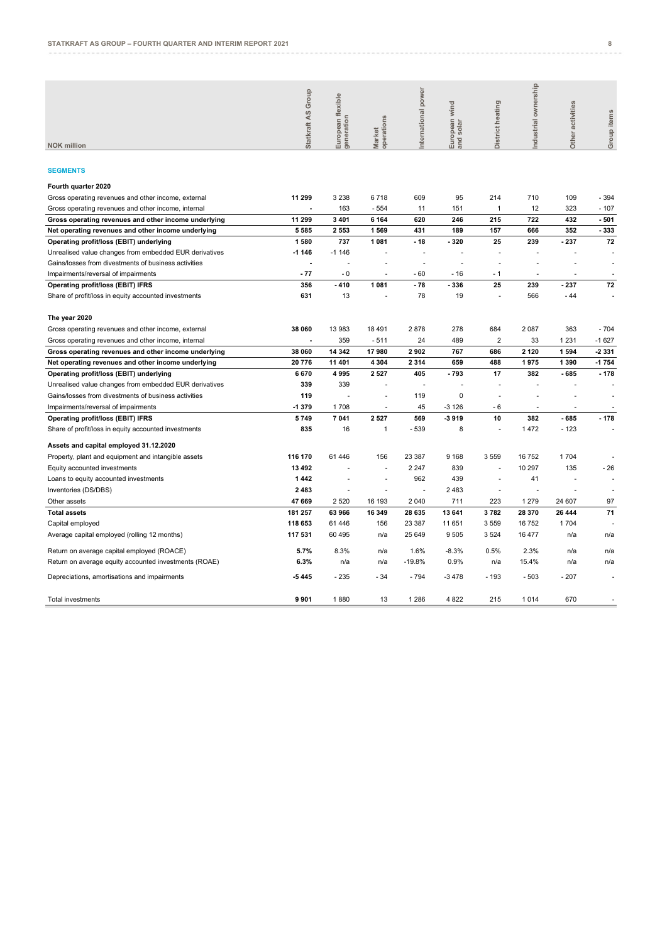| <b>NOK million</b>                                     | Statkraft AS Group | European flexible<br>generation | Market<br>operations | International power | European wind<br>and solar | District heating | Industrial ownership | Other activities | Group items |
|--------------------------------------------------------|--------------------|---------------------------------|----------------------|---------------------|----------------------------|------------------|----------------------|------------------|-------------|
|                                                        |                    |                                 |                      |                     |                            |                  |                      |                  |             |
| <b>SEGMENTS</b>                                        |                    |                                 |                      |                     |                            |                  |                      |                  |             |
| Fourth quarter 2020                                    |                    |                                 |                      |                     |                            |                  |                      |                  |             |
| Gross operating revenues and other income, external    | 11 299             | 3 2 3 8                         | 6718                 | 609                 | 95                         | 214              | 710                  | 109              | $-394$      |
| Gross operating revenues and other income, internal    |                    | 163                             | $-554$               | 11                  | 151                        | -1               | 12                   | 323              | $-107$      |
| Gross operating revenues and other income underlying   | 11 299             | 3 4 0 1                         | 6 1 6 4              | 620                 | 246                        | 215              | 722                  | 432              | $-501$      |
| Net operating revenues and other income underlying     | 5 5 8 5            | 2 5 5 3                         | 1569                 | 431                 | 189                        | 157              | 666                  | 352              | - 333       |
| Operating profit/loss (EBIT) underlying                | 1580               | 737                             | 1081                 | $-18$               | - 320                      | 25               | 239                  | $-237$           | 72          |
| Unrealised value changes from embedded EUR derivatives | $-1146$            | $-1146$                         |                      |                     |                            |                  |                      |                  |             |
| Gains/losses from divestments of business activities   |                    |                                 |                      |                     |                            |                  |                      |                  |             |
| Impairments/reversal of impairments                    | $-77$              | $-0$                            | ä                    | - 60                | $-16$                      | $-1$             |                      |                  |             |
| <b>Operating profit/loss (EBIT) IFRS</b>               | 356                | $-410$                          | 1 0 8 1              | $-78$               | -336                       | 25               | 239                  | $-237$           | 72          |
| Share of profit/loss in equity accounted investments   | 631                | 13                              |                      | 78                  | 19                         |                  | 566                  | - 44             |             |
| The year 2020                                          |                    |                                 |                      |                     |                            |                  |                      |                  |             |
| Gross operating revenues and other income, external    | 38 060             | 13 983                          | 18 491               | 2878                | 278                        | 684              | 2 0 8 7              | 363              | $-704$      |
| Gross operating revenues and other income, internal    |                    | 359                             | $-511$               | 24                  | 489                        | $\overline{2}$   | 33                   | 1 2 3 1          | $-1627$     |
| Gross operating revenues and other income underlying   | 38 060             | 14 342                          | 17980                | 2902                | 767                        | 686              | 2 1 2 0              | 1594             | -2331       |
| Net operating revenues and other income underlying     | 20 776             | 11 401                          | 4 3 0 4              | 2 3 1 4             | 659                        | 488              | 1975                 | 1 3 9 0          | -1754       |
| Operating profit/loss (EBIT) underlying                | 6670               | 4995                            | 2 5 2 7              | 405                 | - 793                      | 17               | 382                  | $-685$           | $-178$      |
| Unrealised value changes from embedded EUR derivatives | 339                | 339                             |                      |                     |                            |                  | ÷                    |                  |             |
| Gains/losses from divestments of business activities   | 119                |                                 |                      | 119                 | 0                          |                  |                      |                  |             |
| Impairments/reversal of impairments                    | -1 379             | 1708                            | ä,                   | 45                  | $-3126$                    | $-6$             | ä,                   | ÷.               |             |
| <b>Operating profit/loss (EBIT) IFRS</b>               | 5749               | 7 041                           | 2 5 2 7              | 569                 | -3919                      | 10               | 382                  | $-685$           | $-178$      |
| Share of profit/loss in equity accounted investments   | 835                | 16                              | $\mathbf{1}$         | $-539$              | 8                          | ä,               | 1472                 | - 123            |             |
| Assets and capital employed 31.12.2020                 |                    |                                 |                      |                     |                            |                  |                      |                  |             |
| Property, plant and equipment and intangible assets    | 116 170            | 61 44 6                         | 156                  | 23 387              | 9 1 6 8                    | 3559             | 16752                | 1704             |             |
| Equity accounted investments                           | 13 492             |                                 |                      | 2 2 4 7             | 839                        |                  | 10 297               | 135              | - 26        |
| Loans to equity accounted investments                  | 1442               |                                 | ÷                    | 962                 | 439                        | ٠                | 41                   | $\sim$           |             |
| Inventories (DS/DBS)                                   | 2 4 8 3            | ÷                               |                      |                     | 2483                       | ÷                | ÷                    |                  |             |
| Other assets                                           | 47 669             | 2 5 20                          | 16 193               | 2 0 4 0             | 711                        | 223              | 1 2 7 9              | 24 607           | 97          |
| <b>Total assets</b>                                    | 181 257            | 63 966                          | 16 349               | 28 635              | 13 641                     | 3782             | 28 370               | 26 444           | 71          |
| Capital employed                                       | 118 653            | 61 44 6                         | 156                  | 23 387              | 11 651                     | 3559             | 16752                | 1704             |             |
| Average capital employed (rolling 12 months)           | 117 531            | 60 495                          | n/a                  | 25 649              | 9505                       | 3524             | 16 477               | n/a              | n/a         |
| Return on average capital employed (ROACE)             | 5.7%               | 8.3%                            | n/a                  | 1.6%                | $-8.3%$                    | 0.5%             | 2.3%                 | n/a              | n/a         |
| Return on average equity accounted investments (ROAE)  | 6.3%               | n/a                             | n/a                  | $-19.8%$            | 0.9%                       | n/a              | 15.4%                | n/a              | n/a         |
| Depreciations, amortisations and impairments           | -5445              | $-235$                          | - 34                 | $-794$              | $-3478$                    | $-193$           | $-503$               | $-207$           |             |
| <b>Total investments</b>                               | 9 9 0 1            | 1880                            | 13                   | 1 2 8 6             | 4 8 2 2                    | 215              | 1014                 | 670              | ÷,          |
|                                                        |                    |                                 |                      |                     |                            |                  |                      |                  |             |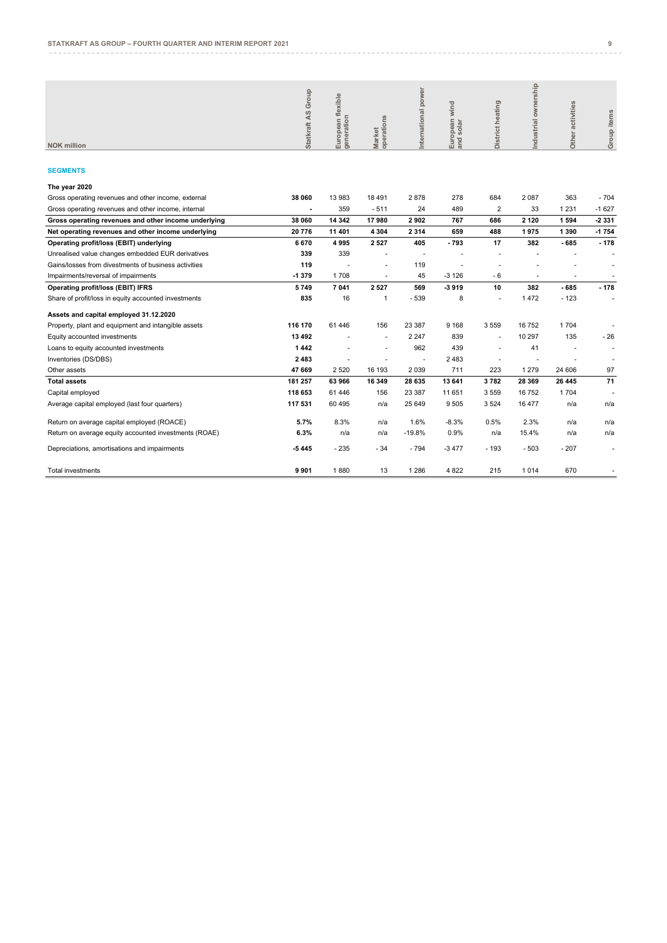| <b>NOK million</b>                                   | Group<br>45<br><b>Statkraft</b> | European flexible<br>generation | Market<br>operations | power<br>nternational | ind<br>$\geq$<br>$\equiv$<br>$\overline{\sigma}$<br>$\sigma$<br>ᅙ<br>$\omega$<br>8<br>ωō<br>Euro<br>and | District heating         | Industrial ownership | activities<br><b>Other</b> | Group items |
|------------------------------------------------------|---------------------------------|---------------------------------|----------------------|-----------------------|---------------------------------------------------------------------------------------------------------|--------------------------|----------------------|----------------------------|-------------|
| <b>SEGMENTS</b>                                      |                                 |                                 |                      |                       |                                                                                                         |                          |                      |                            |             |
| The year 2020                                        |                                 |                                 |                      |                       |                                                                                                         |                          |                      |                            |             |
| Gross operating revenues and other income, external  | 38 060                          | 13 983                          | 18 491               | 2878                  | 278                                                                                                     | 684                      | 2 0 8 7              | 363                        | $-704$      |
| Gross operating revenues and other income, internal  | ٠                               | 359                             | $-511$               | 24                    | 489                                                                                                     | $\overline{2}$           | 33                   | 1 2 3 1                    | $-1627$     |
| Gross operating revenues and other income underlying | 38 060                          | 14 342                          | 17980                | 2902                  | 767                                                                                                     | 686                      | 2 1 2 0              | 1594                       | 2 3 3 1     |
| Net operating revenues and other income underlying   | 20 776                          | 11 401                          | 4 3 0 4              | 2 3 1 4               | 659                                                                                                     | 488                      | 1975                 | 1 3 9 0                    | 1754        |
| Operating profit/loss (EBIT) underlying              | 6670                            | 4995                            | 2 5 2 7              | 405                   | $-793$                                                                                                  | 17                       | 382                  | $-685$                     | $-178$      |
| Unrealised value changes embedded EUR derivatives    | 339                             | 339                             |                      | ٠                     |                                                                                                         | $\overline{\phantom{a}}$ |                      | ٠                          | ۰           |
| Gains/losses from divestments of business activities | 119                             |                                 | ٠                    | 119                   |                                                                                                         |                          | ٠                    | ۰                          | ٠           |
| Impairments/reversal of impairments                  | $-1379$                         | 1708                            |                      | 45                    | $-3126$                                                                                                 | $-6$                     | ٠                    |                            |             |
| Operating profit/loss (EBIT) IFRS                    | 5749                            | 7 041                           | 2 5 2 7              | 569                   | -3919                                                                                                   | 10                       | 382                  | $-685$                     | $-178$      |
| Share of profit/loss in equity accounted investments | 835                             | 16                              |                      | $-539$                | 8                                                                                                       | $\overline{\phantom{a}}$ | 1472                 | $-123$                     | ٠           |

| Share of profit/loss in equity accounted investments  | 835     | 16        |                          | $-539$                   | 8       | $\overline{\phantom{a}}$ | 1472    | $-123$ |                          |
|-------------------------------------------------------|---------|-----------|--------------------------|--------------------------|---------|--------------------------|---------|--------|--------------------------|
| Assets and capital employed 31.12.2020                |         |           |                          |                          |         |                          |         |        |                          |
| Property, plant and equipment and intangible assets   | 116 170 | 61<br>446 | 156                      | 23 387                   | 9 1 6 8 | 3 5 5 9                  | 16752   | 1704   |                          |
| Equity accounted investments                          | 13 492  |           | ٠                        | 2 2 4 7                  | 839     |                          | 10 297  | 135    | $-26$                    |
| Loans to equity accounted investments                 | 1442    |           | ٠                        | 962                      | 439     | $\overline{\phantom{a}}$ | 41      | ۰      | $\overline{\phantom{a}}$ |
| Inventories (DS/DBS)                                  | 2 4 8 3 |           | $\overline{\phantom{a}}$ | $\overline{\phantom{a}}$ | 2483    | $\overline{\phantom{a}}$ |         |        | ٠                        |
| Other assets                                          | 47 669  | 2 5 2 0   | 16 193                   | 2 0 3 9                  | 711     | 223                      | 1 2 7 9 | 24 606 | 97                       |
| <b>Total assets</b>                                   | 181 257 | 63 966    | 16 349                   | 28 635                   | 13 641  | 3782                     | 28 3 69 | 26 445 | 71                       |
| Capital employed                                      | 118 653 | 61 44 6   | 156                      | 23 387                   | 11 651  | 3 5 5 9                  | 16752   | 1704   | ٠                        |
| Average capital employed (last four quarters)         | 117 531 | 60 495    | n/a                      | 25 649                   | 9505    | 3 5 24                   | 16 477  | n/a    | n/a                      |
| Return on average capital employed (ROACE)            | 5.7%    | 8.3%      | n/a                      | 1.6%                     | $-8.3%$ | 0.5%                     | 2.3%    | n/a    | n/a                      |
| Return on average equity accounted investments (ROAE) | 6.3%    | n/a       | n/a                      | $-19.8%$                 | 0.9%    | n/a                      | 15.4%   | n/a    | n/a                      |
| Depreciations, amortisations and impairments          | $-5445$ | $-235$    | $-34$                    | - 794                    | $-3477$ | - 193                    | $-503$  | $-207$ | ٠                        |
| Total investments                                     | 9 9 0 1 | 1880      | 13                       | 1 286                    | 4 8 2 2 | 215                      | 1014    | 670    |                          |